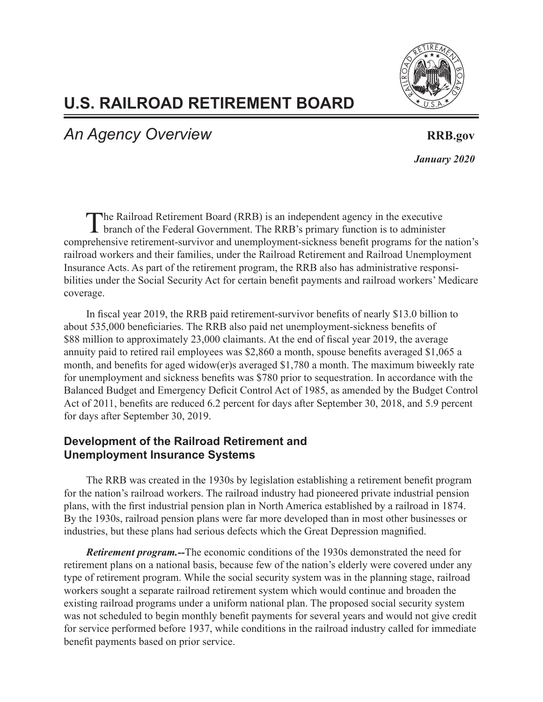

# **U.S. RAILROAD RETIREMENT BOARD**

An Agency Overview **RRB.gov RRB.gov** 

 *January 2020*

The Railroad Retirement Board (RRB) is an independent agency in the executive branch of the Federal Government. The RRB's primary function is to administer comprehensive retirement-survivor and unemployment-sickness benefit programs for the nation's railroad workers and their families, under the Railroad Retirement and Railroad Unemployment Insurance Acts. As part of the retirement program, the RRB also has administrative responsibilities under the Social Security Act for certain benefit payments and railroad workers' Medicare coverage.

In fiscal year 2019, the RRB paid retirement-survivor benefits of nearly \$13.0 billion to about 535,000 beneficiaries. The RRB also paid net unemployment-sickness benefits of \$88 million to approximately 23,000 claimants. At the end of fiscal year 2019, the average annuity paid to retired rail employees was \$2,860 a month, spouse benefits averaged \$1,065 a month, and benefits for aged widow(er)s averaged \$1,780 a month. The maximum biweekly rate for unemployment and sickness benefits was \$780 prior to sequestration. In accordance with the Balanced Budget and Emergency Deficit Control Act of 1985, as amended by the Budget Control Act of 2011, benefits are reduced 6.2 percent for days after September 30, 2018, and 5.9 percent for days after September 30, 2019.

## **Development of the Railroad Retirement and Unemployment Insurance Systems**

The RRB was created in the 1930s by legislation establishing a retirement benefit program for the nation's railroad workers. The railroad industry had pioneered private industrial pension plans, with the first industrial pension plan in North America established by a railroad in 1874. By the 1930s, railroad pension plans were far more developed than in most other businesses or industries, but these plans had serious defects which the Great Depression magnified.

*Retirement program.--*The economic conditions of the 1930s demonstrated the need for retirement plans on a national basis, because few of the nation's elderly were covered under any type of retirement program. While the social security system was in the planning stage, railroad workers sought a separate railroad retirement system which would continue and broaden the existing railroad programs under a uniform national plan. The proposed social security system was not scheduled to begin monthly benefit payments for several years and would not give credit for service performed before 1937, while conditions in the railroad industry called for immediate benefit payments based on prior service.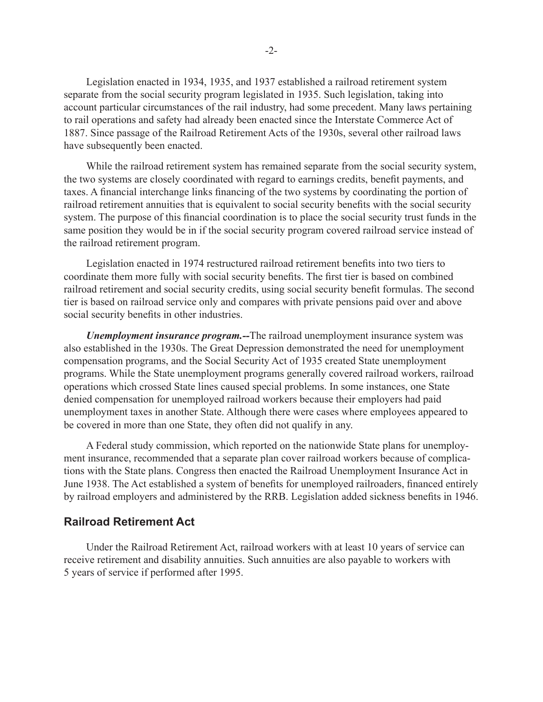Legislation enacted in 1934, 1935, and 1937 established a railroad retirement system separate from the social security program legislated in 1935. Such legislation, taking into account particular circumstances of the rail industry, had some precedent. Many laws pertaining to rail operations and safety had already been enacted since the Interstate Commerce Act of 1887. Since passage of the Railroad Retirement Acts of the 1930s, several other railroad laws have subsequently been enacted.

While the railroad retirement system has remained separate from the social security system, the two systems are closely coordinated with regard to earnings credits, benefit payments, and taxes. A financial interchange links financing of the two systems by coordinating the portion of railroad retirement annuities that is equivalent to social security benefits with the social security system. The purpose of this financial coordination is to place the social security trust funds in the same position they would be in if the social security program covered railroad service instead of the railroad retirement program.

Legislation enacted in 1974 restructured railroad retirement benefits into two tiers to coordinate them more fully with social security benefits. The first tier is based on combined railroad retirement and social security credits, using social security benefit formulas. The second tier is based on railroad service only and compares with private pensions paid over and above social security benefits in other industries.

*Unemployment insurance program.--*The railroad unemployment insurance system was also established in the 1930s. The Great Depression demonstrated the need for unemployment compensation programs, and the Social Security Act of 1935 created State unemployment programs. While the State unemployment programs generally covered railroad workers, railroad operations which crossed State lines caused special problems. In some instances, one State denied compensation for unemployed railroad workers because their employers had paid unemployment taxes in another State. Although there were cases where employees appeared to be covered in more than one State, they often did not qualify in any.

A Federal study commission, which reported on the nationwide State plans for unemployment insurance, recommended that a separate plan cover railroad workers because of complications with the State plans. Congress then enacted the Railroad Unemployment Insurance Act in June 1938. The Act established a system of benefits for unemployed railroaders, financed entirely by railroad employers and administered by the RRB. Legislation added sickness benefits in 1946.

### **Railroad Retirement Act**

Under the Railroad Retirement Act, railroad workers with at least 10 years of service can receive retirement and disability annuities. Such annuities are also payable to workers with 5 years of service if performed after 1995.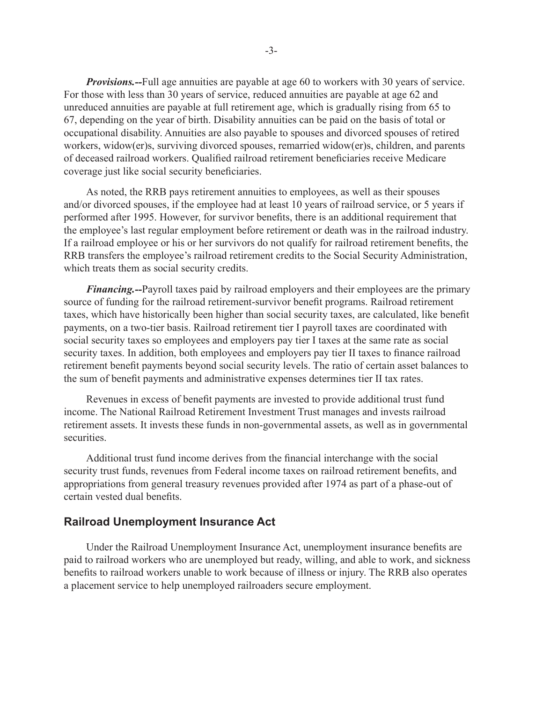*Provisions.--*Full age annuities are payable at age 60 to workers with 30 years of service. For those with less than 30 years of service, reduced annuities are payable at age 62 and unreduced annuities are payable at full retirement age, which is gradually rising from 65 to 67, depending on the year of birth. Disability annuities can be paid on the basis of total or occupational disability. Annuities are also payable to spouses and divorced spouses of retired workers, widow(er)s, surviving divorced spouses, remarried widow(er)s, children, and parents of deceased railroad workers. Qualified railroad retirement beneficiaries receive Medicare coverage just like social security beneficiaries.

As noted, the RRB pays retirement annuities to employees, as well as their spouses and/or divorced spouses, if the employee had at least 10 years of railroad service, or 5 years if performed after 1995. However, for survivor benefits, there is an additional requirement that the employee's last regular employment before retirement or death was in the railroad industry. If a railroad employee or his or her survivors do not qualify for railroad retirement benefits, the RRB transfers the employee's railroad retirement credits to the Social Security Administration, which treats them as social security credits.

*Financing.--*Payroll taxes paid by railroad employers and their employees are the primary source of funding for the railroad retirement-survivor benefit programs. Railroad retirement taxes, which have historically been higher than social security taxes, are calculated, like benefit payments, on a two-tier basis. Railroad retirement tier I payroll taxes are coordinated with social security taxes so employees and employers pay tier I taxes at the same rate as social security taxes. In addition, both employees and employers pay tier II taxes to finance railroad retirement benefit payments beyond social security levels. The ratio of certain asset balances to the sum of benefit payments and administrative expenses determines tier II tax rates.

Revenues in excess of benefit payments are invested to provide additional trust fund income. The National Railroad Retirement Investment Trust manages and invests railroad retirement assets. It invests these funds in non-governmental assets, as well as in governmental securities.

Additional trust fund income derives from the financial interchange with the social security trust funds, revenues from Federal income taxes on railroad retirement benefits, and appropriations from general treasury revenues provided after 1974 as part of a phase-out of certain vested dual benefits.

#### **Railroad Unemployment Insurance Act**

Under the Railroad Unemployment Insurance Act, unemployment insurance benefits are paid to railroad workers who are unemployed but ready, willing, and able to work, and sickness benefits to railroad workers unable to work because of illness or injury. The RRB also operates a placement service to help unemployed railroaders secure employment.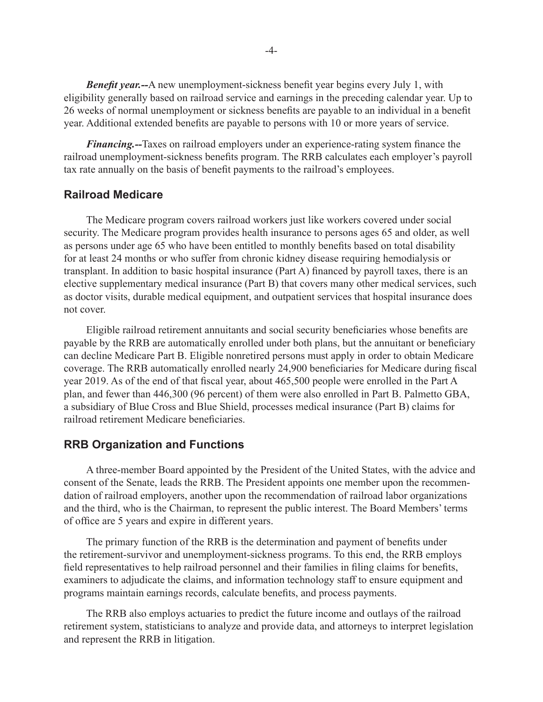*Benefit year.--*A new unemployment-sickness benefit year begins every July 1, with eligibility generally based on railroad service and earnings in the preceding calendar year. Up to 26 weeks of normal unemployment or sickness benefits are payable to an individual in a benefit year. Additional extended benefits are payable to persons with 10 or more years of service.

*Financing.--*Taxes on railroad employers under an experience-rating system finance the railroad unemployment-sickness benefits program. The RRB calculates each employer's payroll tax rate annually on the basis of benefit payments to the railroad's employees.

#### **Railroad Medicare**

The Medicare program covers railroad workers just like workers covered under social security. The Medicare program provides health insurance to persons ages 65 and older, as well as persons under age 65 who have been entitled to monthly benefits based on total disability for at least 24 months or who suffer from chronic kidney disease requiring hemodialysis or transplant. In addition to basic hospital insurance (Part A) financed by payroll taxes, there is an elective supplementary medical insurance (Part B) that covers many other medical services, such as doctor visits, durable medical equipment, and outpatient services that hospital insurance does not cover.

Eligible railroad retirement annuitants and social security beneficiaries whose benefits are payable by the RRB are automatically enrolled under both plans, but the annuitant or beneficiary can decline Medicare Part B. Eligible nonretired persons must apply in order to obtain Medicare coverage. The RRB automatically enrolled nearly 24,900 beneficiaries for Medicare during fiscal year 2019. As of the end of that fiscal year, about 465,500 people were enrolled in the Part A plan, and fewer than 446,300 (96 percent) of them were also enrolled in Part B. Palmetto GBA, a subsidiary of Blue Cross and Blue Shield, processes medical insurance (Part B) claims for railroad retirement Medicare beneficiaries.

#### **RRB Organization and Functions**

A three-member Board appointed by the President of the United States, with the advice and consent of the Senate, leads the RRB. The President appoints one member upon the recommendation of railroad employers, another upon the recommendation of railroad labor organizations and the third, who is the Chairman, to represent the public interest. The Board Members' terms of office are 5 years and expire in different years.

The primary function of the RRB is the determination and payment of benefits under the retirement-survivor and unemployment-sickness programs. To this end, the RRB employs field representatives to help railroad personnel and their families in filing claims for benefits, examiners to adjudicate the claims, and information technology staff to ensure equipment and programs maintain earnings records, calculate benefits, and process payments.

The RRB also employs actuaries to predict the future income and outlays of the railroad retirement system, statisticians to analyze and provide data, and attorneys to interpret legislation and represent the RRB in litigation.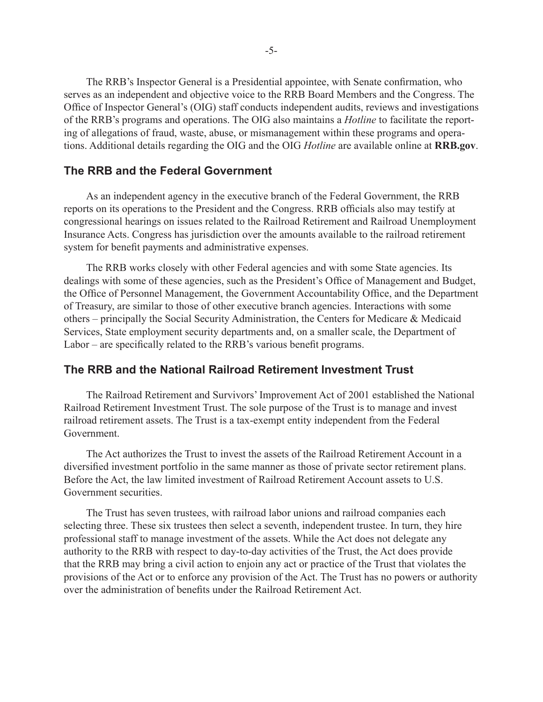The RRB's Inspector General is a Presidential appointee, with Senate confirmation, who serves as an independent and objective voice to the RRB Board Members and the Congress. The Office of Inspector General's (OIG) staff conducts independent audits, reviews and investigations of the RRB's programs and operations. The OIG also maintains a *Hotline* to facilitate the reporting of allegations of fraud, waste, abuse, or mismanagement within these programs and operations. Additional details regarding the OIG and the OIG *Hotline* are available online at **RRB.gov**.

## **The RRB and the Federal Government**

As an independent agency in the executive branch of the Federal Government, the RRB reports on its operations to the President and the Congress. RRB officials also may testify at congressional hearings on issues related to the Railroad Retirement and Railroad Unemployment Insurance Acts. Congress has jurisdiction over the amounts available to the railroad retirement system for benefit payments and administrative expenses.

The RRB works closely with other Federal agencies and with some State agencies. Its dealings with some of these agencies, such as the President's Office of Management and Budget, the Office of Personnel Management, the Government Accountability Office, and the Department of Treasury, are similar to those of other executive branch agencies. Interactions with some others – principally the Social Security Administration, the Centers for Medicare & Medicaid Services, State employment security departments and, on a smaller scale, the Department of Labor – are specifically related to the RRB's various benefit programs.

## **The RRB and the National Railroad Retirement Investment Trust**

The Railroad Retirement and Survivors' Improvement Act of 2001 established the National Railroad Retirement Investment Trust. The sole purpose of the Trust is to manage and invest railroad retirement assets. The Trust is a tax-exempt entity independent from the Federal Government.

The Act authorizes the Trust to invest the assets of the Railroad Retirement Account in a diversified investment portfolio in the same manner as those of private sector retirement plans. Before the Act, the law limited investment of Railroad Retirement Account assets to U.S. Government securities.

The Trust has seven trustees, with railroad labor unions and railroad companies each selecting three. These six trustees then select a seventh, independent trustee. In turn, they hire professional staff to manage investment of the assets. While the Act does not delegate any authority to the RRB with respect to day-to-day activities of the Trust, the Act does provide that the RRB may bring a civil action to enjoin any act or practice of the Trust that violates the provisions of the Act or to enforce any provision of the Act. The Trust has no powers or authority over the administration of benefits under the Railroad Retirement Act.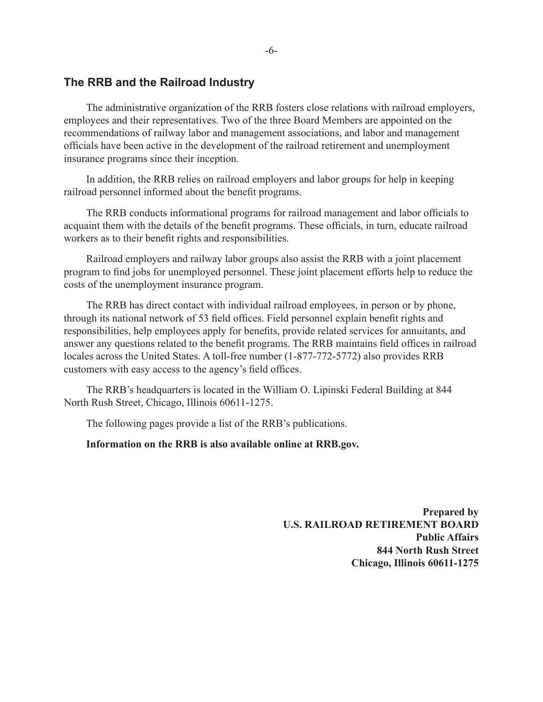### **The RRB and the Railroad Industry**

The administrative organization of the RRB fosters close relations with railroad employers, employees and their representatives. Two of the three Board Members are appointed on the recommendations of railway labor and management associations, and labor and management officials have been active in the development of the railroad retirement and unemployment insurance programs since their inception.

In addition, the RRB relies on railroad employers and labor groups for help in keeping railroad personnel informed about the benefit programs.

The RRB conducts informational programs for railroad management and labor officials to acquaint them with the details of the benefit programs. These officials, in turn, educate railroad workers as to their benefit rights and responsibilities.

Railroad employers and railway labor groups also assist the RRB with a joint placement program to find jobs for unemployed personnel. These joint placement efforts help to reduce the costs of the unemployment insurance program.

The RRB has direct contact with individual railroad employees, in person or by phone, through its national network of 53 field offices. Field personnel explain benefit rights and responsibilities, help employees apply for benefits, provide related services for annuitants, and answer any questions related to the benefit programs. The RRB maintains field offices in railroad locales across the United States. A toll-free number (1-877-772-5772) also provides RRB customers with easy access to the agency's field offices.

The RRB's headquarters is located in the William O. Lipinski Federal Building at 844 North Rush Street, Chicago, Illinois 60611-1275.

The following pages provide a list of the RRB's publications.

#### **Information on the RRB is also available online at RRB.gov.**

**Prepared by U.S. RAILROAD RETIREMENT BOARD Public Affairs 844 North Rush Street Chicago, Illinois 60611-1275**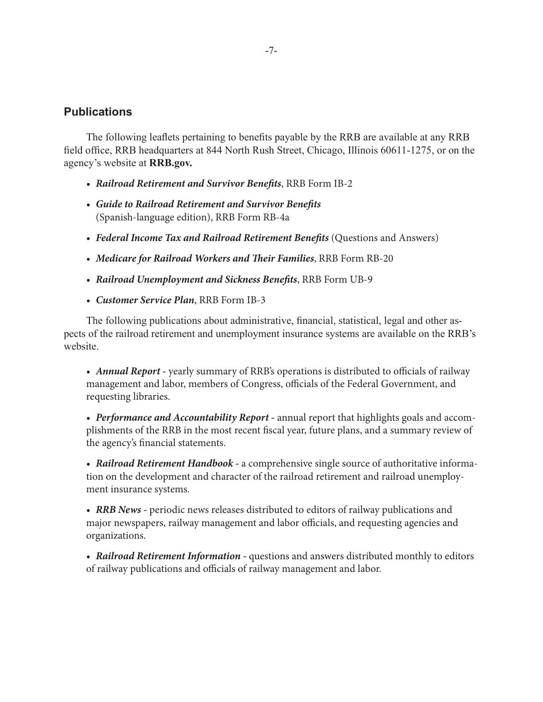## **Publications**

The following leaflets pertaining to benefits payable by the RRB are available at any RRB field office, RRB headquarters at 844 North Rush Street, Chicago, Illinois 60611-1275, or on the agency's website at **RRB.gov.**

- *• Railroad Retirement and Survivor Benefits*, RRB Form IB-2
- *• Guide to Railroad Retirement and Survivor Benefits* (Spanish-language edition), RRB Form RB-4a
- Federal Income Tax and Railroad Retirement Benefits (Questions and Answers)
- *• Medicare for Railroad Workers and Their Families*, RRB Form RB-20
- *• Railroad Unemployment and Sickness Benefits*, RRB Form UB-9
- *• Customer Service Plan*, RRB Form IB-3

The following publications about administrative, financial, statistical, legal and other aspects of the railroad retirement and unemployment insurance systems are available on the RRB's website.

• *Annual Report* - yearly summary of RRB's operations is distributed to officials of railway management and labor, members of Congress, officials of the Federal Government, and requesting libraries.

*• Performance and Accountability Report -* annual report that highlights goals and accomplishments of the RRB in the most recent fiscal year, future plans, and a summary review of the agency's financial statements.

*• Railroad Retirement Handbook -* a comprehensive single source of authoritative information on the development and character of the railroad retirement and railroad unemployment insurance systems.

• **RRB News** - periodic news releases distributed to editors of railway publications and major newspapers, railway management and labor officials, and requesting agencies and organizations.

• *Railroad Retirement Information* - questions and answers distributed monthly to editors of railway publications and officials of railway management and labor.